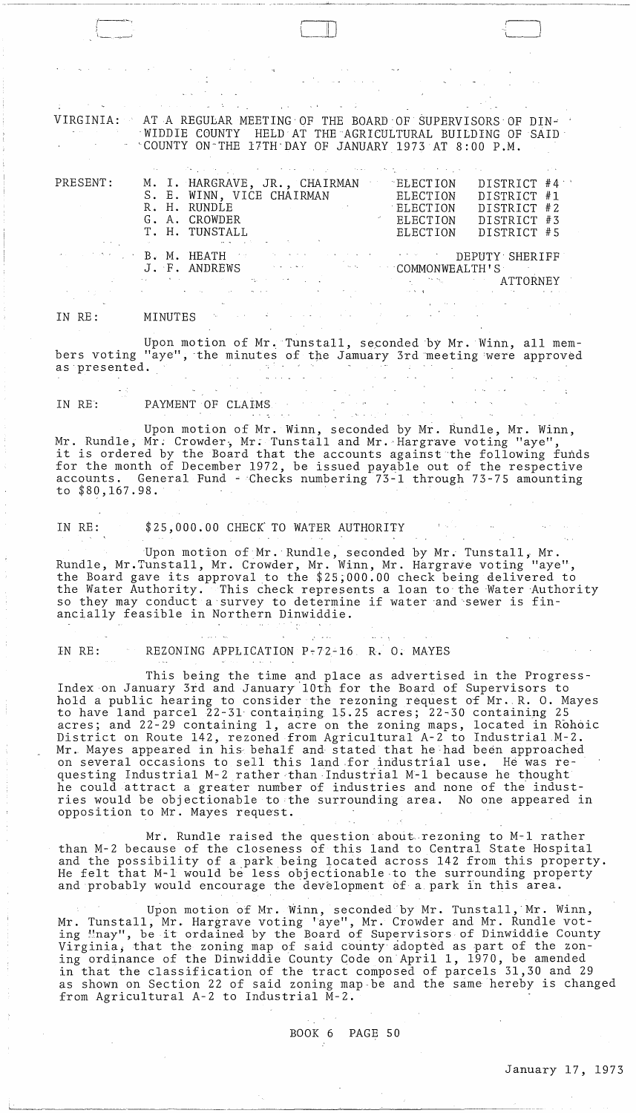$\sqrt{2}$ 

--- -~-~-~---- ,- ~ ~~--

VIRGINIA: AT A REGULAR MEETING OF THE BOARD OF SUPERVISORS OF DIN--WIDDIE COUNTY HELD'AT THE'AGRICULTURAL BUILDING OF SAID' 'COUNTY ON"'THE 17TH'DAY OF JANUARY 1973 AT 8:00 P.M.

|                                                                                           |  | 计数据 医心包的 医心包 医心包 医心包 医心包 医心包 医心包 医心包 医神经性 医阴道 医心包 医心包 医心包 医心包 医心包 医心包 医心包的                                             |  |
|-------------------------------------------------------------------------------------------|--|------------------------------------------------------------------------------------------------------------------------|--|
| PRESENT:                                                                                  |  | M. I. HARGRAVE, JR., CHAIRMAN<br>DISTRICT #4<br>ELECTION                                                               |  |
|                                                                                           |  | S. E. WINN, VICE CHAIRMAN<br>DISTRICT #1<br>ELECTION                                                                   |  |
|                                                                                           |  | R. H. RUNDLE<br>ELECTION<br>DISTRICT #2<br>the contract of the state of the contract of the contract of                |  |
|                                                                                           |  | G. A. CROWDER<br>ELECTION<br>DISTRICT #3                                                                               |  |
|                                                                                           |  | T. H. TUNSTALL<br>DISTRICT #5<br>ELECTION                                                                              |  |
| $\mathcal{A}=\mathcal{A}$ , and the set of the set of the set of the set of $\mathcal{A}$ |  | the control of the second state of the second state of the second state of the second state of the                     |  |
|                                                                                           |  | <b>EXECUTIVE B. M. HEATH</b> FOR STRING CONTRACT TO DEPUTY SHERIFF                                                     |  |
|                                                                                           |  | J. F. ANDREWS ARE ALL THAT COMMONWEALTH'S                                                                              |  |
|                                                                                           |  | and the contract of the contract of the contract of the contract of the contract of $\Lambda\mathrm{TTORN}\mathrm{EY}$ |  |
|                                                                                           |  | المستحدث والمستقيد والمستقيل والانجام والمتعارف والمستقيل والمستقيل والمستقيد والمستقيل والمستقيل والمستقيل والمستقيل  |  |

#### IN RE: MINUTES

Upon motion of Mr. Tunstall, seconded by Mr. Winn, all members voting "aye", the minutes of the Jamuary 3rd meeting were approved as presented. as·presented.

 $\label{eq:2} \frac{1}{\sqrt{2}}\int_{\mathbb{R}^3}\left|\frac{1}{\sqrt{2}}\left(\frac{1}{\sqrt{2}}\right)^2\right|^2\left|\frac{1}{\sqrt{2}}\left(\frac{1}{\sqrt{2}}\right)^2\right|^2\right|^2\left|\frac{1}{\sqrt{2}}\left(\frac{1}{\sqrt{2}}\right)^2\right|^2\left|\frac{1}{\sqrt{2}}\left(\frac{1}{\sqrt{2}}\right)^2\right|^2\left|\frac{1}{\sqrt{2}}\right|^2\left|\frac{1}{\sqrt{2}}\right|^2\left|\frac{1}{\sqrt{2}}\right|^2\left|\frac{1}{\sqrt{2}}$ IN RE: PAYMENT OF CLAIMS

Upon motion of Mr. Winn, seconded by Mr. Rundle, Mr. Winn, Mr. Rundle, Mr. Crowder, Mr. Tunstall and Mr. Hargrave voting "aye", it is ordered by the Board that the accounts against the following funds for the month of December 1972, be issued payable out of the respective accounts. General Fund - Checks numbering 73-1 through 73-75 amounting to \$80,167.98.

IN RE: \$25,000.00 CHECK'TO WATER AUTHORITY

Upon motion of Mr. Rundle, seconded by Mr. Tunstall, Mr. Rundle, Mr.Tunstall, Mr. Crowder, Mr. Winn, Mr. Hargrave voting "aye", the Board gave its approval.to the \$25;000.00 check being delivered to the Water Authority. This check represents a loan to the Water 'Authority so they may conduct a survey to determine if water 'and'sewer is financially feasible in Northern Dinwiddie.

IN RE: REZONING APPLICATION  $P-72-16$  R. 0. MAYES

This being the time and place as advertised in the Progress-Index on January 3rd and January 10th for the Board of Supervisors to hold a public hearing to consider the rezoning request of Mr .. R. O. Mayes to have land parcel 22-31 containing 15.25 acres; 22-30 containing 25 acres; and 22-29 containing 1, acre on the zoning maps, located in Rohoic dorse, and is is concerning 1, dore on the sening maps, receive in near-Mr. Mayes appeared in his behalf and stated that he had been approached on several occasions to sell this land for industrial use. He was requesting Industrial M-2 rather than Industrial M-1 because he thought he could attract a greater number of industries and none of the industries would be objectionable to the surrounding area. No one appeared in opposition to Mr. Mayes request.

Mr. Rundle raised the question about rezoning to M-1 rather than M-2 because of the closeness of this land to Central State Hospital and the possibility of a park being located across 142 from this property. He felt that M-1 would be less objectionable to the surrounding property and probably would encourage the development of a park in this area.

Upon motion of Mr. Winn, seconded by Mr. Tunstall, Mr. Winn, Mr. Tunstall, Mr. Hargrave voting 'aye", Mr. Crowder and Mr. Rundle voting "nay", be it ordained by the Board of Supervisors of Dinwiddie County Virginia, that the zoning map of said county adopted as part of the zoning ordinance of the Dinwiddie County Code on April 1, 1970, be amended in that the classification of the tract composed of parcels 31,30 and 29 as shown on Section 22 of said zoning map-be and the same hereby is changed from Agricultural A-2 to Industrial M-2.

BOOK 6 PAGE 50

 $\sim 10^{11}$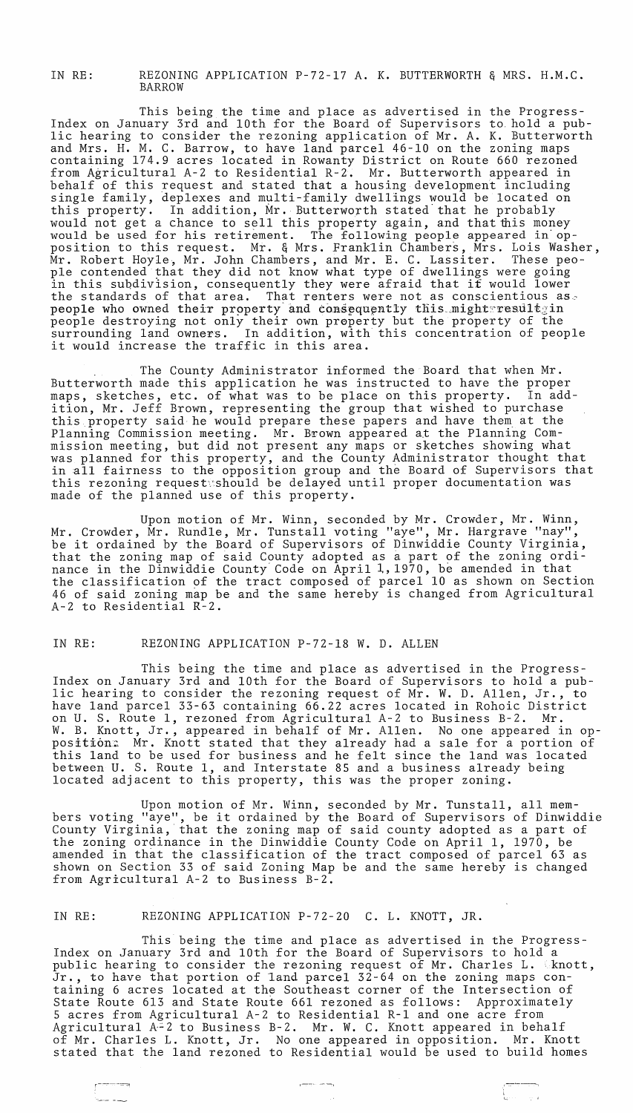IN RE: REZONING APPLICATION P-72-l7 A. K. BUTTERWORTH & MRS. H.M.C. BARROW

This being the time and place as advertised in the Progress-Index on January 3rd and 10th for the Board of Supervisors to. hold a public hearing to consider the rezoning application of Mr. A. K. Butterworth and Mrs. H. M. C. Barrow, to have land parcel 46-10 on the zoning maps containing 174.9 acres located in Rowanty District on Route 660 rezoned from Agricultural A-2 to Residential R-2. Mr. Butterworth appeared in behalf of this request and stated that a housing development including single family, deplexes and multi-family dwellings would be located on this property. In addition, Mr. Butterworth stated that he probably would not get a chance to sell this property again, and that this money would be used for his retirement. The following people appeared in opposition to this request. Mr. & Mrs. Franklin Chambers, Mrs. Lois Washer,  $\stackrel{\text{M}}{\text{Mr}}$ . Robert Hoyle, Mr. John Chambers, and Mr. E. C. Lassiter. These people contended that they did not know what type of dwellings were going pre contended that they did not know what type of dweffings were going<br>in this subdivision, consequently they were afraid that it would lower the standards of that area. That renters were not as conscientious as. people who owned their property and consequently this might:result;in people destroying not only their own preperty but the property of the surrounding land owners. In addition, with this concentration of people it would increase the traffic in this area.

The County Administrator informed the Board that when Mr. Butterworth made this application he was instructed to have the proper maps, sketches, etc. of what was to be place on this property. In addition, Mr. Jeff Brown, representing the group that wished to purchase this property said he would prepare these papers and have them at the Planning Commission meeting. Mr. Brown appeared at the Planning Commission meeting, but did not present any maps or sketches showing what was planned for this property, and the County Administrator thought that in all fairness to the opposition group and the Board of Supervisors that this rezoning request should be delayed until proper documentation was made of the planned use of this property.

Upon motion of Mr. Winn, seconded by Mr. Crowder, Mr. Winn, Mr. Crowder, Mr. Rundle, Mr. Tunstall voting "aye", Mr. Hargrave "nay", Mr. Crowder, Mr. Rundie, Mr. Tunstall voling aye , Mr. Haigrave nay ,<br>be it ordained by the Board of Supervisors of Dinwiddie County Virginia, that the zoning map of said County adopted as a part of the zoning ordinance in the Dinwiddie County Code on April 1, 1970, be amended in that the classification of the tract composed of parcel 10 as shown on Section 46 of said zoning map be and the same hereby is changed from Agricultural 46 of said zoning map be and the same hereby is changed from Agricultural<br>A-2 to Residential R-2.

#### IN RE: REZONING APPLICATION P-72-l8 W. D. ALLEN

This being the time and place as advertised in the Progress-Index on January 3rd and 10th for the Board of Supervisors to hold a public hearing to consider the rezoning request of Mr. W. D. Allen, Jr., to have land parcel 33-63 containing 66.22 acres located in Rohoic District on U. S. Route 1, rezoned from Agricultural A-2 to Business B-2. Mr. W. B. Knott, Jr., appeared in behalf of Mr. Allen. No one appeared in opposition: Mr. Knott stated that they already had a sale for a portion of this land to be used for business and he felt since the land was located between U. S. Route 1, and Interstate 85 and a business already being located adjacent to this property, this was the proper zoning.

Upon motion of Mr. Winn, seconded by Mr. Tunstall, all members voting "aye", be it ordained by the Board of Supervisors of Dinwiddie county Virginia, that the zoning map of said county adopted as a part of the zoning ordinance in the Dinwiddie County Code on April 1, 1970, be amended in that the classification of the tract composed of parcel 63 as shown on Section 33 of said Zoning Map be and the same hereby is changed from Agricultural A-2 to Business B-2.

### IN RE: REZONING APPLICATION P-72-20 C. L. KNOTT, JR.

,-.----~

ب د سنه

This being the time and place as advertised in the Progress-Index on January 3rd and 10th for the Board of Supervisors to hold a public hearing to consider the rezoning request of Mr. Charles L. Knott, Jr., to have that portion of land parcel 32-64 on the zoning maps containing 6 acres located at the Southeast corner of the Intersection of State Route 613 and State Route 661 rezoned as follows: Approximately 5 acres from Agricultural A-2 to Residential R-l and one acre from Agricultural A-2 to Business B-2. Mr. W. C. Knott appeared in behalf of Mr. Charles L. Knott, Jr. No one appeared in opposition. Mr. Knott stated that the land rezoned to Residential would be used to build homes

 $\mu$  -particles are respectively.

I '--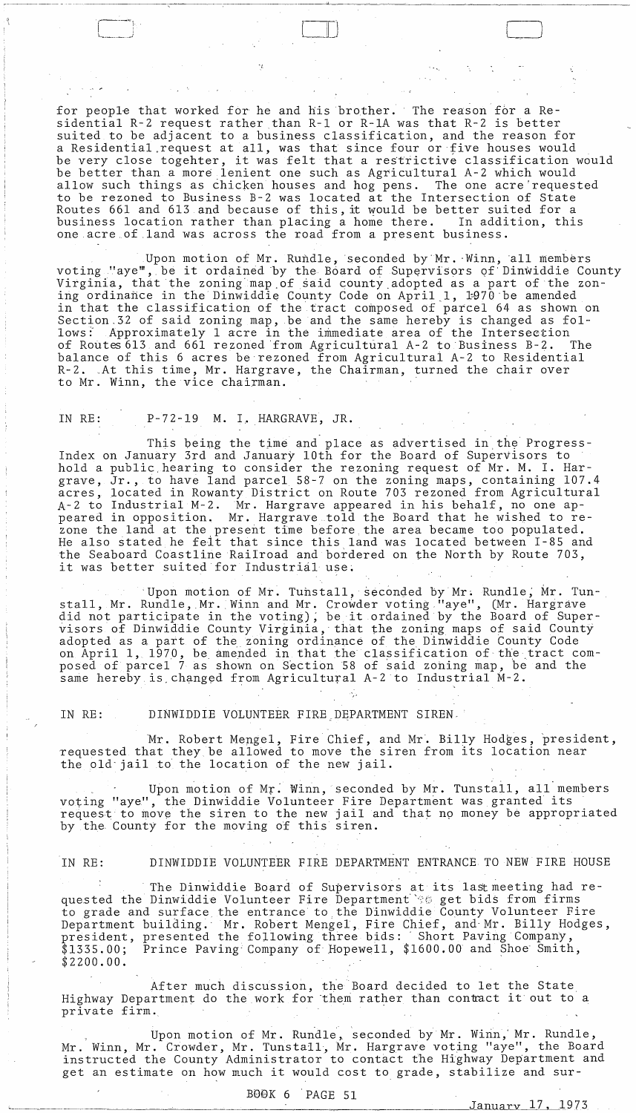for people that worked for he and his brother. The reason for a Residential R-2 request rather than R-I or R-IA was that R-2 is better suited to be adjacent to a business classification, and the reason for a Residential.request at all, was that since four or five houses would a Residential request at all, was that since four of five houses would<br>be very close togehter, it was felt that a restrictive classification would be better than a more lenient one such as Agricultural A-2 which would allow such things as chicken houses and hog pens. The one acre'requested to be rezoned to Business B-2 was located at the Intersection of State Routes 661 and 613 and because of this, it would be better suited for a business location rather than placing a home there. In addition, this one acre of land was across the road from a present business.

Upon motion of Mr. Rundle, seconded by Mr. Winn, all members voting "aye", be it ordained by the Board of Supervisors of Dinwiddie County Virginia, that the zoning'map.of said county,adopted as a part of the zoning ordinance in the Dinwiddie County Code on April 1, 1970 be amended in that the classification of the tract composed of parcel 64 as shown on Section.32 of said zoning map, be and the same hereby is changed as fol-<br>lows: Approximately 1 acre in the immediate area of the Intersection Approximately 1 acre in the immediate area of the Intersection<br>tes 613 and 661 rezoned from Agricultural A-2 to Business B-2. The of Routes 613 and 661 rezoned from Agricultural A-2 to Business B-2. balance of this 6 acres be'rezoned from Agriculturai A-2 to Residential R-2. ,At this time, Mr. Hargrave, the Chairman, turned the chair over to Mr. Winn, the vice chairman.

### IN RE: P-72-19 M. I. HARGRAVE, JR.

, and the set of  $\Box$ 

'I--~' ,

This being the time and place as advertised in the Progress-Index on January 3rd and January 10th for the Board of Supervisors to hold a public, hearing to consider the rezoning request of Mr. M. I. Hargrave, Jr., to have land parcel 58-7 on the zoning maps, containing 107.4 acres, located in Rowanty District on Route 703 rezoned from Agricultural *A-2* to Industrial M-2.Mr. Hargrave appeared in his behalf, no one appeared in opposition. Mr. Hargrave told the Board that he wished to rezone the land at the present time before the area became too populated. He also stated he felt that since this land was located between I-85 and the Seaboard Coastline Railroad and bordered on the North by Route 703, it was better suited for Industrial use;

'Upon motion of Mr. Tunstall, seconded by Mr. Rundle, Mr. Tunstall, Mr. Rundle, Mr. Winn and Mr. Crowder voting, "aye", (Mr. Hargrave stail, MI. Rundle, MI. Will and MI. Crowder voting. aye, (MI. Hargrave<br>did not participate in the voting), be it ordained by the Board of Supervisors of Dinwiddie County Virginia, that the zoning maps of said County adopted as a part of the zoning ordinance of the Dinwiddie County Code on April 1, 1970, be amended in that the classification of the tract composed of parcel 7 as shown on Section 58 of said zoning map, be and the same hereby is changed from Agricultural A-2 to Industrial M-2.

### IN RE: DINWIDDIE VOLUNTEER FIRE DEPARTMENT SIREN,

Mr. Robert Mengel, Fire Chief, and Mr. Billy Hodges, president, requested that they be allowed to move the siren from its location near the old' jail to the location of the new jail.

Upon motion of Mr. Winn, seconded by Mr. Tunstall, all members voting "aye", the Dinwiddie Volunteer Fire Department was granted its request to move the siren to the new jail and that no money be appropriated by the County for the moving of this siren.

## IN RE: DINWIDDIE VOLUNTEER FIRE DEPARTMENT ENTRANCE TO NEW FIRE HOUSE

. . The Dinwiddie Board of Supervisors at its last meeting had requested the Dinwiddie Volunteer Fire Department' "s get bids from firms to grade and surface the entrance to.the Dinwiddie County Volunteer Fire Department building.' Mr. Robert Mengel, Fire Chief, and'Mr. Billy Hodges, president, presented the following three bids: ' Short Paving Company, \$1335.00; Prince Paving' Company of Hopewell, \$1600.00 and Shoe' Smith, \$2200.00.

After much discussion, the Board decided to let the State Highway Department do the work for them rather than contract it out to a private firm ..

Upon motion of Mr. Rundle, seconded by Mr. Winn, Mr. Rundle, Mr. Winn, Mr. Crowder, Mr. Tunstall, Mr. Hargrave voting "aye", the Board instructed the County Administrator to contact the Highway Department and get an estimate on how much it would cost to grade, stabilize and sur-

January 17, 1973